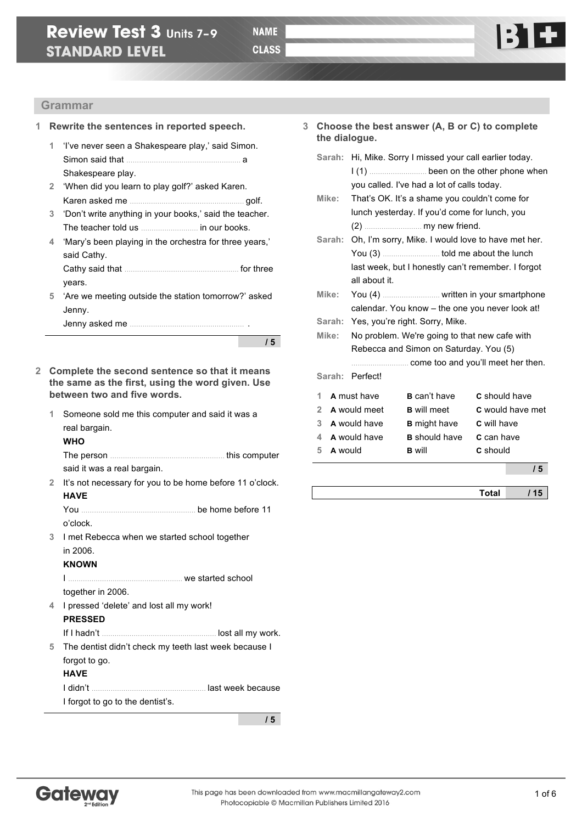

### **Grammar**

#### **1 Rewrite the sentences in reported speech.**

- **1** 'I've never seen a Shakespeare play,' said Simon. Simon said that ……………………………………………… a Shakespeare play.
- **2** 'When did you learn to play golf?' asked Karen. Karen asked me ……………………………………………… golf.
- **3** 'Don't write anything in your books,' said the teacher. The teacher told us ……………………… in our books.
- **4** 'Mary's been playing in the orchestra for three years,' said Cathy.

Cathy said that ……………………………………………… for three years.

**5** 'Are we meeting outside the station tomorrow?' asked Jenny.

Jenny asked me ……………………………………………… .

**/ 5**

- **2 Complete the second sentence so that it means the same as the first, using the word given. Use between two and five words.**
	- **1** Someone sold me this computer and said it was a real bargain.

**WHO**

The person ……………………………………………… this computer said it was a real bargain.

**2** It's not necessary for you to be home before 11 o'clock. **HAVE**

You ……………………………………………… be home before 11 o'clock.

**3** I met Rebecca when we started school together in 2006.

#### **KNOWN**

I ……………………………………………… we started school

together in 2006.

**4** I pressed 'delete' and lost all my work! **PRESSED**

If I hadn't ……………………………………………… lost all my work. **5** The dentist didn't check my teeth last week because I forgot to go.

#### **HAVE**

I didn't ……………………………………………… last week because I forgot to go to the dentist's.

**/ 5**

- **3 Choose the best answer (A, B or C) to complete the dialogue.**
	- **Sarah:** Hi, Mike. Sorry I missed your call earlier today. I (1) ……………………… been on the other phone when you called. I've had a lot of calls today.
	- **Mike:** That's OK. It's a shame you couldn't come for lunch yesterday. If you'd come for lunch, you (2) ……………………… my new friend.
	- **Sarah:** Oh, I'm sorry, Mike. I would love to have met her. You (3) ……………………… told me about the lunch last week, but I honestly can't remember. I forgot all about it.
	- **Mike:** You (4) ……………………… written in your smartphone calendar. You know – the one you never look at!
	- **Sarah:** Yes, you're right. Sorry, Mike.
	- **Mike:** No problem. We're going to that new cafe with Rebecca and Simon on Saturday. You (5) ……………………… come too and you'll meet her then.

**Sarah:** Perfect!

| 1 | A must have  | <b>B</b> can't have  | <b>C</b> should have    |
|---|--------------|----------------------|-------------------------|
|   |              |                      |                         |
|   | A would meet | <b>B</b> will meet   | <b>C</b> would have met |
| 3 | A would have | <b>B</b> might have  | <b>C</b> will have      |
|   | A would have | <b>B</b> should have | <b>C</b> can have       |
| 5 | A would      | <b>B</b> will        | C should                |
|   |              |                      |                         |

**/ 5**

**Total / 15**

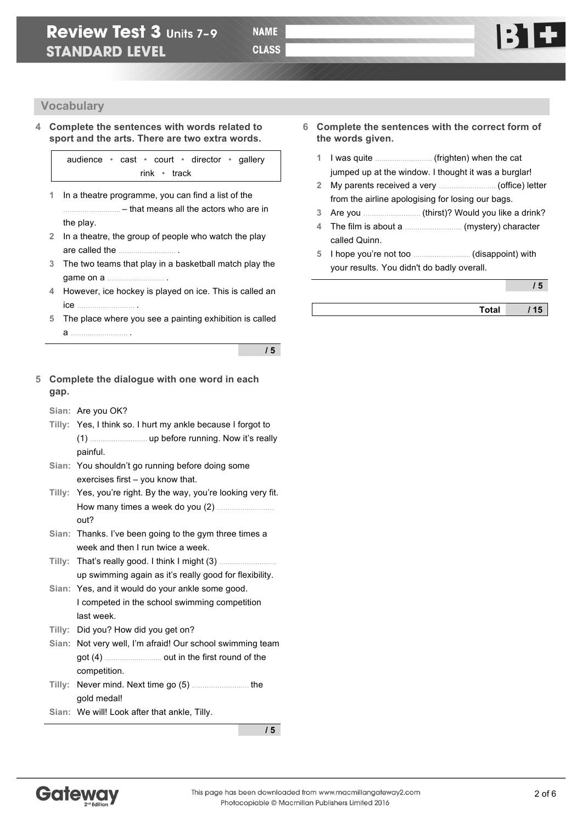

**/ 5**

### **Vocabulary**

**4 Complete the sentences with words related to sport and the arts. There are two extra words.**

> audience • cast • court • director • gallery rink • track

- **1** In a theatre programme, you can find a list of the ……………………… – that means all the actors who are in the play.
- **2** In a theatre, the group of people who watch the play are called the ……………………… .
- **3** The two teams that play in a basketball match play the game on a ……………………… .
- **4** However, ice hockey is played on ice. This is called an ice ……………………… .
- **5** The place where you see a painting exhibition is called  $a \qquad \qquad \blacksquare$

**/ 5**

### **5 Complete the dialogue with one word in each gap.**

- **Sian:** Are you OK?
- **Tilly:** Yes, I think so. I hurt my ankle because I forgot to (1) ……………………… up before running. Now it's really painful.
- **Sian:** You shouldn't go running before doing some exercises first – you know that.
- **Tilly:** Yes, you're right. By the way, you're looking very fit. How many times a week do you (2) ……………………… out?
- **Sian:** Thanks. I've been going to the gym three times a week and then I run twice a week.
- **Tilly:** That's really good. I think I might (3) ……………………… up swimming again as it's really good for flexibility.
- **Sian:** Yes, and it would do your ankle some good. I competed in the school swimming competition last week.
- **Tilly:** Did you? How did you get on?
- **Sian:** Not very well, I'm afraid! Our school swimming team got (4) ……………………… out in the first round of the competition.
- **Tilly:** Never mind. Next time go (5) ……………………… the gold medal!
- **Sian:** We will! Look after that ankle, Tilly.

- **6 Complete the sentences with the correct form of the words given.**
	- **1** I was quite ……………………… (frighten) when the cat jumped up at the window. I thought it was a burglar!
	- **2** My parents received a very ……………………… (office) letter from the airline apologising for losing our bags.
	- **3** Are you ……………………… (thirst)? Would you like a drink?
	- **4** The film is about a ……………………… (mystery) character called Quinn.
	- **5** I hope you're not too ……………………… (disappoint) with your results. You didn't do badly overall.

|              | $\ddot{\phantom{1}}$ |
|--------------|----------------------|
| <b>Total</b> | 15                   |

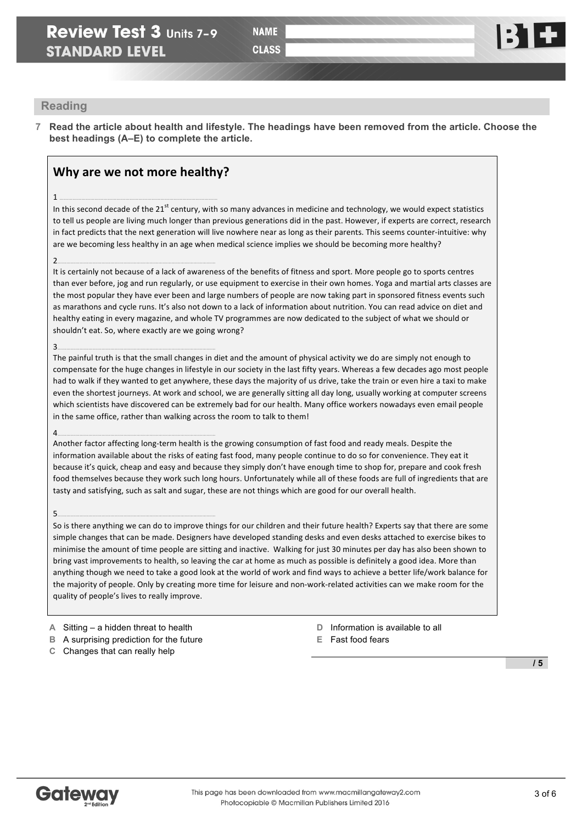

### **Reading**

**7 Read the article about health and lifestyle. The headings have been removed from the article. Choose the best headings (A–E) to complete the article.**

### **Why are we not more healthy?**

1 ………………………………………………………………………………………………

In this second decade of the 21<sup>st</sup> century, with so many advances in medicine and technology, we would expect statistics to tell us people are living much longer than previous generations did in the past. However, if experts are correct, research in fact predicts that the next generation will live nowhere near as long as their parents. This seems counter-intuitive: why are we becoming less healthy in an age when medical science implies we should be becoming more healthy?

#### 2………………………………………………………………………………………………

It is certainly not because of a lack of awareness of the benefits of fitness and sport. More people go to sports centres than ever before, jog and run regularly, or use equipment to exercise in their own homes. Yoga and martial arts classes are the most popular they have ever been and large numbers of people are now taking part in sponsored fitness events such as marathons and cycle runs. It's also not down to a lack of information about nutrition. You can read advice on diet and healthy eating in every magazine, and whole TV programmes are now dedicated to the subject of what we should or shouldn't eat. So, where exactly are we going wrong?

#### 3………………………………………………………………………………………………

The painful truth is that the small changes in diet and the amount of physical activity we do are simply not enough to compensate for the huge changes in lifestyle in our society in the last fifty years. Whereas a few decades ago most people had to walk if they wanted to get anywhere, these days the majority of us drive, take the train or even hire a taxi to make even the shortest journeys. At work and school, we are generally sitting all day long, usually working at computer screens which scientists have discovered can be extremely bad for our health. Many office workers nowadays even email people in the same office, rather than walking across the room to talk to them!

#### 4………………………………………………………………………………………………

Another factor affecting long-term health is the growing consumption of fast food and ready meals. Despite the information available about the risks of eating fast food, many people continue to do so for convenience. They eat it because it's quick, cheap and easy and because they simply don't have enough time to shop for, prepare and cook fresh food themselves because they work such long hours. Unfortunately while all of these foods are full of ingredients that are tasty and satisfying, such as salt and sugar, these are not things which are good for our overall health.

5………………………………………………………………………………………………

So is there anything we can do to improve things for our children and their future health? Experts say that there are some simple changes that can be made. Designers have developed standing desks and even desks attached to exercise bikes to minimise the amount of time people are sitting and inactive. Walking for just 30 minutes per day has also been shown to bring vast improvements to health, so leaving the car at home as much as possible is definitely a good idea. More than anything though we need to take a good look at the world of work and find ways to achieve a better life/work balance for the majority of people. Only by creating more time for leisure and non-work-related activities can we make room for the quality of people's lives to really improve.

**A** Sitting – a hidden threat to health

- **B** A surprising prediction for the future
- **C** Changes that can really help
- **D** Information is available to all
- **E** Fast food fears

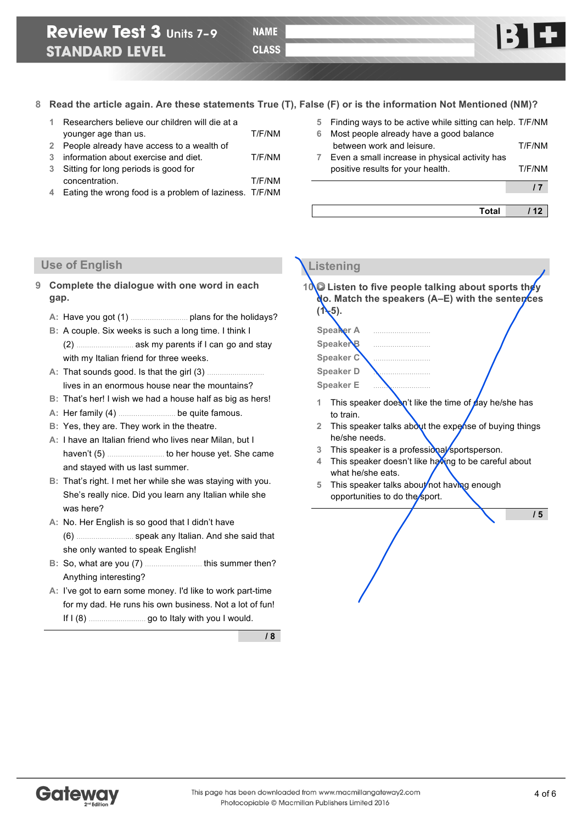**Total / 12**

**8 Read the article again. Are these statements True (T), False (F) or is the information Not Mentioned (NM)?**

- **1** Researchers believe our children will die at a younger age than us. T/F/NM
- **2** People already have access to a wealth of
- **3** information about exercise and diet. T/F/NM
- **3** Sitting for long periods is good for concentration. T/F/NM
- **4** Eating the wrong food is a problem of laziness. T/F/NM
- **5** Finding ways to be active while sitting can help. T/F/NM **6** Most people already have a good balance
- between work and leisure. T/F/NM **7** Even a small increase in physical activity has positive results for your health. T/F/NM **/ 7**
- 

**Listening** 

### **Use of English**

- **9 Complete the dialogue with one word in each gap.**
	- **A:** Have you got (1) ……………………… plans for the holidays?
	- **B:** A couple. Six weeks is such a long time. I think I (2) ……………………… ask my parents if I can go and stay with my Italian friend for three weeks.
	- A: That sounds good. Is that the girl (3) ... lives in an enormous house near the mountains?
	- **B:** That's her! I wish we had a house half as big as hers!
	- **A:** Her family (4) ……………………… be quite famous.
	- **B:** Yes, they are. They work in the theatre.
	- **A:** I have an Italian friend who lives near Milan, but I haven't (5) ……………………… to her house yet. She came and stayed with us last summer.
	- **B:** That's right. I met her while she was staying with you. She's really nice. Did you learn any Italian while she was here?
	- **A:** No. Her English is so good that I didn't have (6) ……………………… speak any Italian. And she said that she only wanted to speak English!
	- **B:** So, what are you (7) ……………………… this summer then? Anything interesting?
	- **A:** I've got to earn some money. I'd like to work part-time for my dad. He runs his own business. Not a lot of fun! If I (8) ……………………… go to Italy with you I would.

**/ 8**

- **10** Listen to five people talking about sports they **do. Match the speakers (A–E) with the sentences**  $(1-5)$ . **Speaker A** ……………………… Speaker **Speaker C** ……………………… **Speaker D** ……………………… **Speaker E** ……………………… 1 This speaker doesn't like the time of day he/she has to train. 2 This speaker talks about the expense of buying things he/she needs.
	- **3** This speaker is a professional sportsperson.
	- 4 This speaker doesn't like having to be careful about what he/she eats.
	- 5 This speaker talks about not having enough opportunities to do the sport.

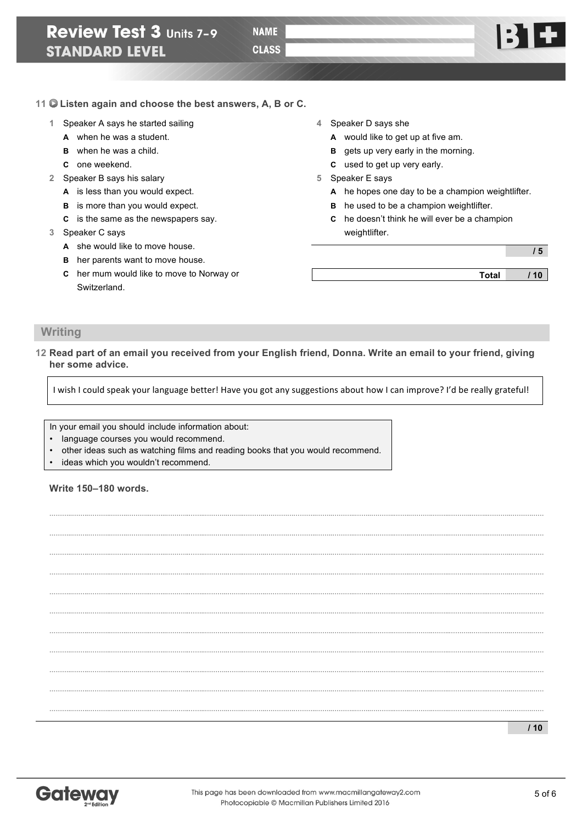

### **11 Listen again and choose the best answers, A, B or C.**

- **1** Speaker A says he started sailing
	- **A** when he was a student.
	- **B** when he was a child.
	- **C** one weekend.
- **2** Speaker B says his salary
	- **A** is less than you would expect.
	- **B** is more than you would expect.
	- **C** is the same as the newspapers say.
- **3** Speaker C says
	- **A** she would like to move house.
	- **B** her parents want to move house.
	- **C** her mum would like to move to Norway or Switzerland.
- **4** Speaker D says she
	- **A** would like to get up at five am.
	- **B** gets up very early in the morning.
	- **C** used to get up very early.
- **5** Speaker E says
	- **A** he hopes one day to be a champion weightlifter.
	- **B** he used to be a champion weightlifter.
	- **C** he doesn't think he will ever be a champion weightlifter.

**/ 5**

**Total / 10**

### **Writing**

**12 Read part of an email you received from your English friend, Donna. Write an email to your friend, giving her some advice.**

I wish I could speak your language better! Have you got any suggestions about how I can improve? I'd be really grateful!

**………..……..………..……..………..……..………..……..………..……..………..……….…………..……..………..……..………..……..………..……..………..……..………..……….……**

**………..……..………..……..………..……..………..……..………..……..………..……….…………..……..………..……..………..……..………..……..………..……..………..……….…… ………..……..………..……..………..……..………..……..………..……..………..……….…………..……..………..……..………..……..………..……..………..……..………..……….…… ………..……..………..……..………..……..………..……..………..……..………..……….…………..……..………..……..………..……..………..……..………..……..………..……….……**

**………..……..………..……..………..……..………..……..………..……..………..……….…………..……..………..……..………..……..………..……..………..……..………..……….…… ………..……..………..……..………..……..………..……..………..……..………..……….…………..……..………..……..………..……..………..……..………..……..………..……….…… ………..……..………..……..………..……..………..……..………..……..………..……….…………..……..………..……..………..……..………..……..………..……..………..……….……**

**………..……..………..……..………..……..………..……..………..……..………..……….…………..……..………..……..………..……..………..……..………..……..………..……….…… ………..……..………..……..………..……..………..……..………..……..………..……….…………..……..………..……..………..……..………..……..………..……..………..……….…… ………..……..………..……..………..……..………..……..………..……..………..……….…………..……..………..……..………..……..………..……..………..……..………..……….……**

**………..……..………..……..………..……..………..……..………..……..………..……….…………..……..………..……..………..……..………..……..………..……..………..……….……**

In your email you should include information about:

- language courses you would recommend.
- other ideas such as watching films and reading books that you would recommend.
- ideas which you wouldn't recommend.

### **Write 150–180 words.**